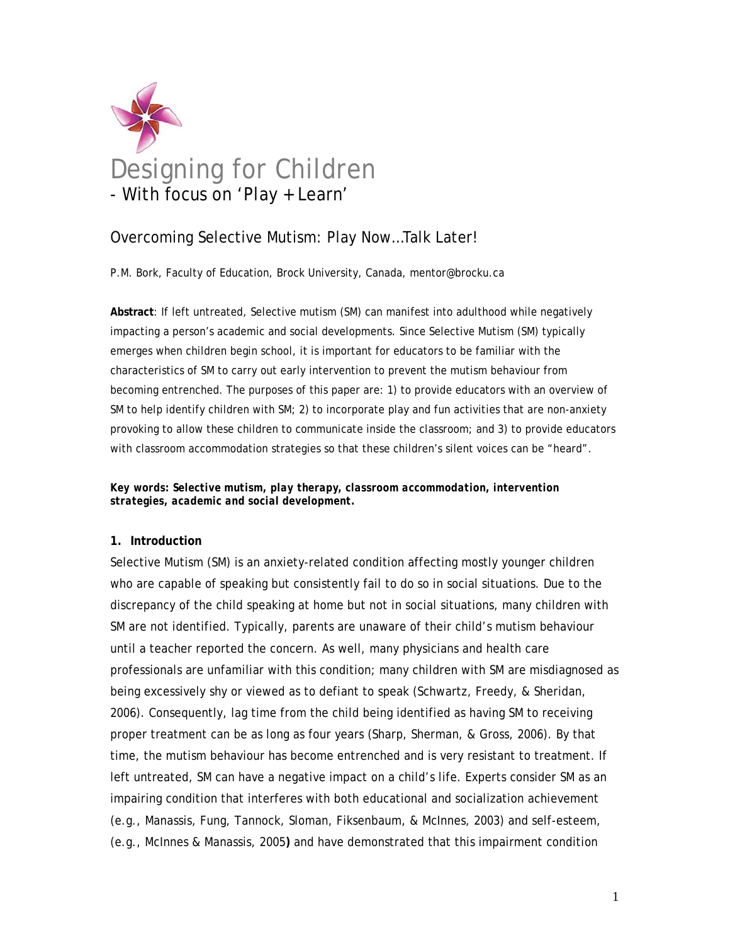

# Overcoming Selective Mutism: Play Now…Talk Later!

P.M. Bork, Faculty of Education, Brock University, Canada, mentor@brocku.ca

**Abstract**: If left untreated, Selective mutism (SM) can manifest into adulthood while negatively impacting a person's academic and social developments. Since Selective Mutism (SM) typically emerges when children begin school, it is important for educators to be familiar with the characteristics of SM to carry out early intervention to prevent the mutism behaviour from becoming entrenched. The purposes of this paper are: 1) to provide educators with an overview of SM to help identify children with SM; 2) to incorporate play and fun activities that are non-anxiety provoking to allow these children to communicate inside the classroom; and 3) to provide educators with classroom accommodation strategies so that these children's silent voices can be "heard".

*Key words: Selective mutism, play therapy, classroom accommodation, intervention strategies, academic and social development.* 

#### **1. Introduction**

Selective Mutism (SM) is an anxiety-related condition affecting mostly younger children who are capable of speaking but consistently fail to do so in social situations. Due to the discrepancy of the child speaking at home but not in social situations, many children with SM are not identified. Typically, parents are unaware of their child's mutism behaviour until a teacher reported the concern. As well, many physicians and health care professionals are unfamiliar with this condition; many children with SM are misdiagnosed as being excessively shy or viewed as to defiant to speak (Schwartz, Freedy, & Sheridan, 2006). Consequently, lag time from the child being identified as having SM to receiving proper treatment can be as long as four years (Sharp, Sherman, & Gross, 2006). By that time, the mutism behaviour has become entrenched and is very resistant to treatment. If left untreated, SM can have a negative impact on a child's life. Experts consider SM as an impairing condition that interferes with both educational and socialization achievement (e.g., Manassis, Fung, Tannock, Sloman, Fiksenbaum, & McInnes, 2003) and self-esteem, (e.g., McInnes & Manassis, 2005**)** and have demonstrated that this impairment condition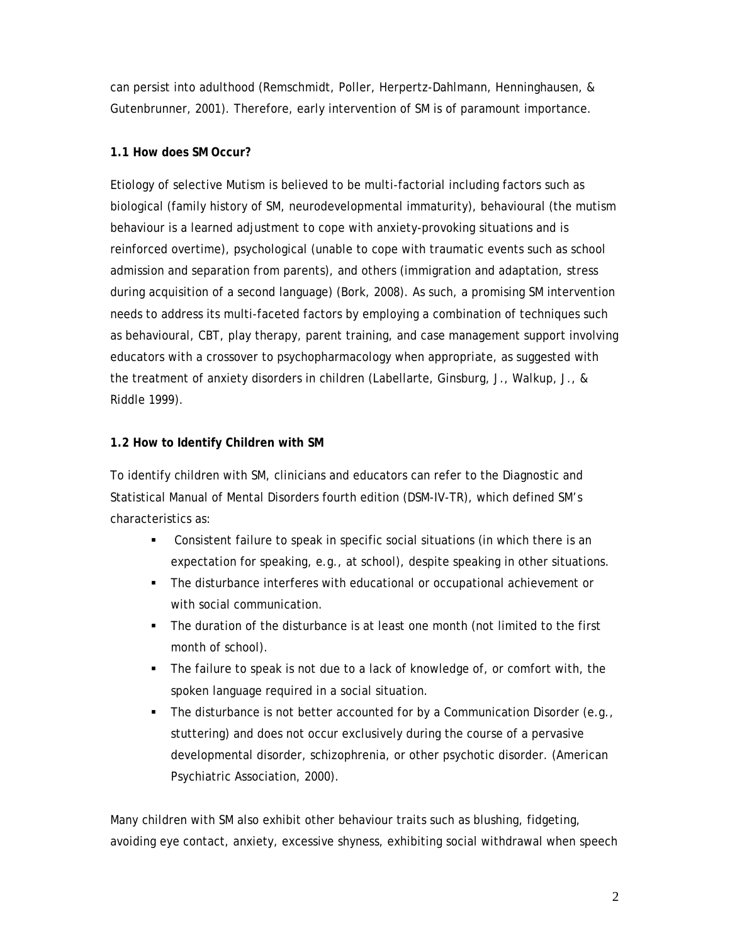can persist into adulthood (Remschmidt, Poller, Herpertz-Dahlmann, Henninghausen, & Gutenbrunner, 2001). Therefore, early intervention of SM is of paramount importance.

### **1.1 How does SM Occur?**

Etiology of selective Mutism is believed to be multi-factorial including factors such as biological (family history of SM, neurodevelopmental immaturity), behavioural (the mutism behaviour is a learned adjustment to cope with anxiety-provoking situations and is reinforced overtime), psychological (unable to cope with traumatic events such as school admission and separation from parents), and others (immigration and adaptation, stress during acquisition of a second language) (Bork, 2008). As such, a promising SM intervention needs to address its multi-faceted factors by employing a combination of techniques such as behavioural, CBT, play therapy, parent training, and case management support involving educators with a crossover to psychopharmacology when appropriate, as suggested with the treatment of anxiety disorders in children (Labellarte, Ginsburg, J., Walkup, J., & Riddle 1999).

# **1.2 How to Identify Children with SM**

To identify children with SM, clinicians and educators can refer to the Diagnostic and Statistical Manual of Mental Disorders fourth edition (DSM-IV-TR), which defined SM's characteristics as:

- Consistent failure to speak in specific social situations (in which there is an expectation for speaking, e.g., at school), despite speaking in other situations.
- The disturbance interferes with educational or occupational achievement or with social communication.
- The duration of the disturbance is at least one month (not limited to the first month of school).
- The failure to speak is not due to a lack of knowledge of, or comfort with, the spoken language required in a social situation.
- The disturbance is not better accounted for by a Communication Disorder (e.g., stuttering) and does not occur exclusively during the course of a pervasive developmental disorder, schizophrenia, or other psychotic disorder. (American Psychiatric Association, 2000).

Many children with SM also exhibit other behaviour traits such as blushing, fidgeting, avoiding eye contact, anxiety, excessive shyness, exhibiting social withdrawal when speech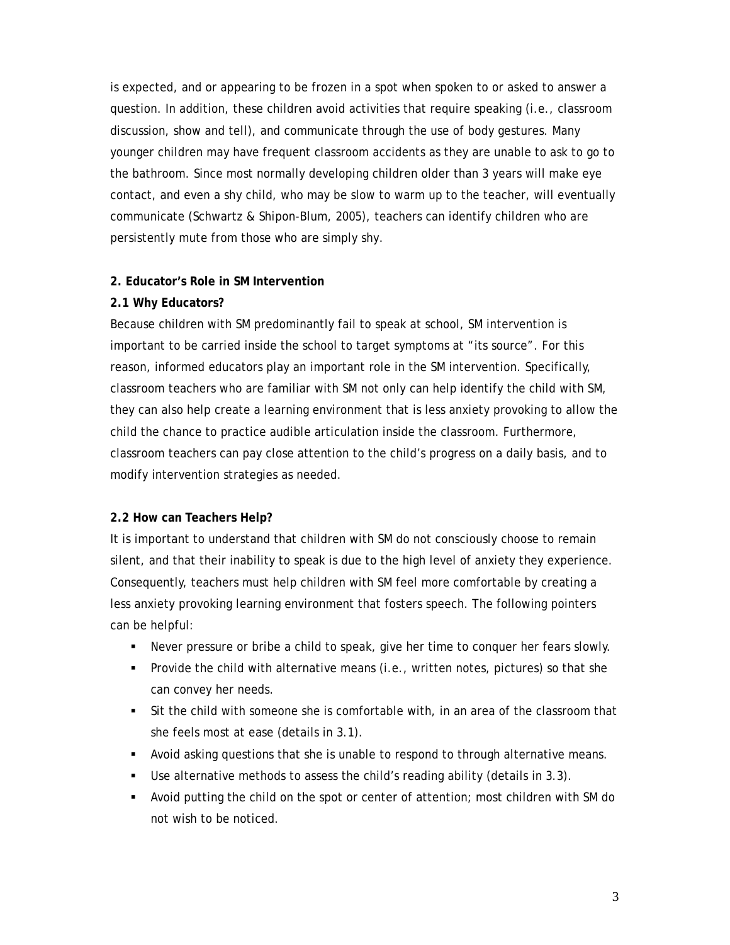is expected, and or appearing to be frozen in a spot when spoken to or asked to answer a question. In addition, these children avoid activities that require speaking (i.e., classroom discussion, show and tell), and communicate through the use of body gestures. Many younger children may have frequent classroom accidents as they are unable to ask to go to the bathroom. Since most normally developing children older than 3 years will make eye contact, and even a shy child, who may be slow to warm up to the teacher, will eventually communicate (Schwartz & Shipon-Blum, 2005), teachers can identify children who are persistently mute from those who are simply shy.

#### **2. Educator's Role in SM Intervention**

#### **2.1 Why Educators?**

Because children with SM predominantly fail to speak at school, SM intervention is important to be carried inside the school to target symptoms at "its source". For this reason, informed educators play an important role in the SM intervention. Specifically, classroom teachers who are familiar with SM not only can help identify the child with SM, they can also help create a learning environment that is less anxiety provoking to allow the child the chance to practice audible articulation inside the classroom. Furthermore, classroom teachers can pay close attention to the child's progress on a daily basis, and to modify intervention strategies as needed.

#### **2.2 How can Teachers Help?**

It is important to understand that children with SM do not consciously choose to remain silent, and that their inability to speak is due to the high level of anxiety they experience. Consequently, teachers must help children with SM feel more comfortable by creating a less anxiety provoking learning environment that fosters speech. The following pointers can be helpful:

- Never pressure or bribe a child to speak, give her time to conquer her fears slowly.
- **Provide the child with alternative means (i.e., written notes, pictures) so that she** can convey her needs.
- Sit the child with someone she is comfortable with, in an area of the classroom that she feels most at ease (details in 3.1).
- Avoid asking questions that she is unable to respond to through alternative means.
- Use alternative methods to assess the child's reading ability (details in 3.3).
- Avoid putting the child on the spot or center of attention; most children with SM do not wish to be noticed.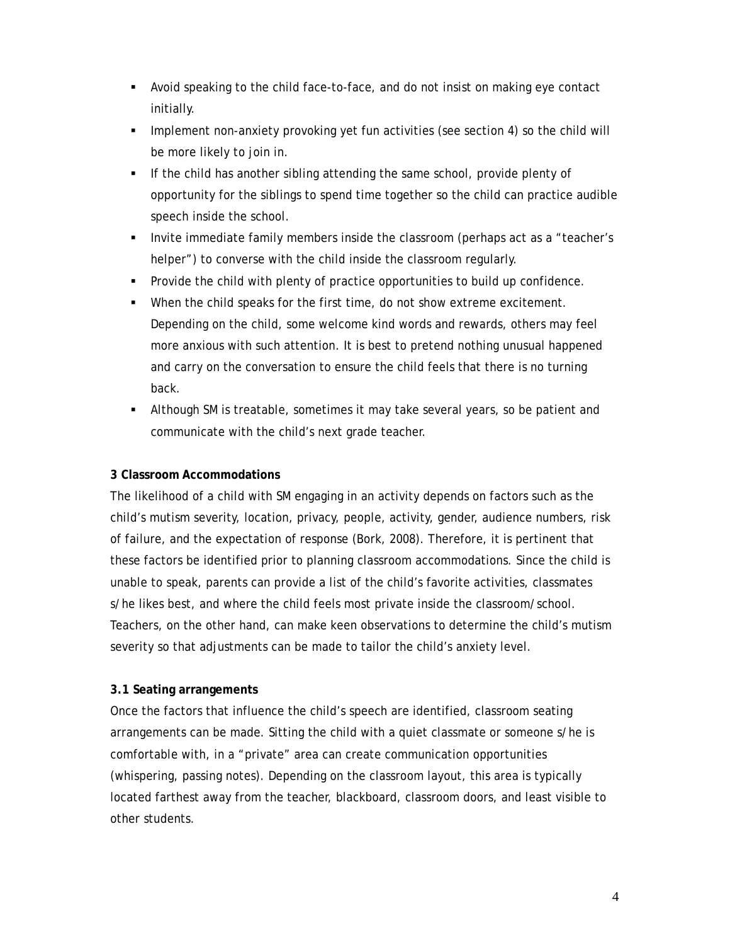- Avoid speaking to the child face-to-face, and do not insist on making eye contact initially.
- **Implement non-anxiety provoking yet fun activities (see section 4) so the child will** be more likely to join in.
- If the child has another sibling attending the same school, provide plenty of opportunity for the siblings to spend time together so the child can practice audible speech inside the school.
- Invite immediate family members inside the classroom (perhaps act as a "teacher's helper") to converse with the child inside the classroom regularly.
- Provide the child with plenty of practice opportunities to build up confidence.
- When the child speaks for the first time, do not show extreme excitement. Depending on the child, some welcome kind words and rewards, others may feel more anxious with such attention. It is best to pretend nothing unusual happened and carry on the conversation to ensure the child feels that there is no turning back.
- Although SM is treatable, sometimes it may take several years, so be patient and communicate with the child's next grade teacher.

# **3 Classroom Accommodations**

The likelihood of a child with SM engaging in an activity depends on factors such as the child's mutism severity, location, privacy, people, activity, gender, audience numbers, risk of failure, and the expectation of response (Bork, 2008). Therefore, it is pertinent that these factors be identified prior to planning classroom accommodations. Since the child is unable to speak, parents can provide a list of the child's favorite activities, classmates s/he likes best, and where the child feels most private inside the classroom/school. Teachers, on the other hand, can make keen observations to determine the child's mutism severity so that adjustments can be made to tailor the child's anxiety level.

# **3.1 Seating arrangements**

Once the factors that influence the child's speech are identified, classroom seating arrangements can be made. Sitting the child with a quiet classmate or someone s/he is comfortable with, in a "private" area can create communication opportunities (whispering, passing notes). Depending on the classroom layout, this area is typically located farthest away from the teacher, blackboard, classroom doors, and least visible to other students.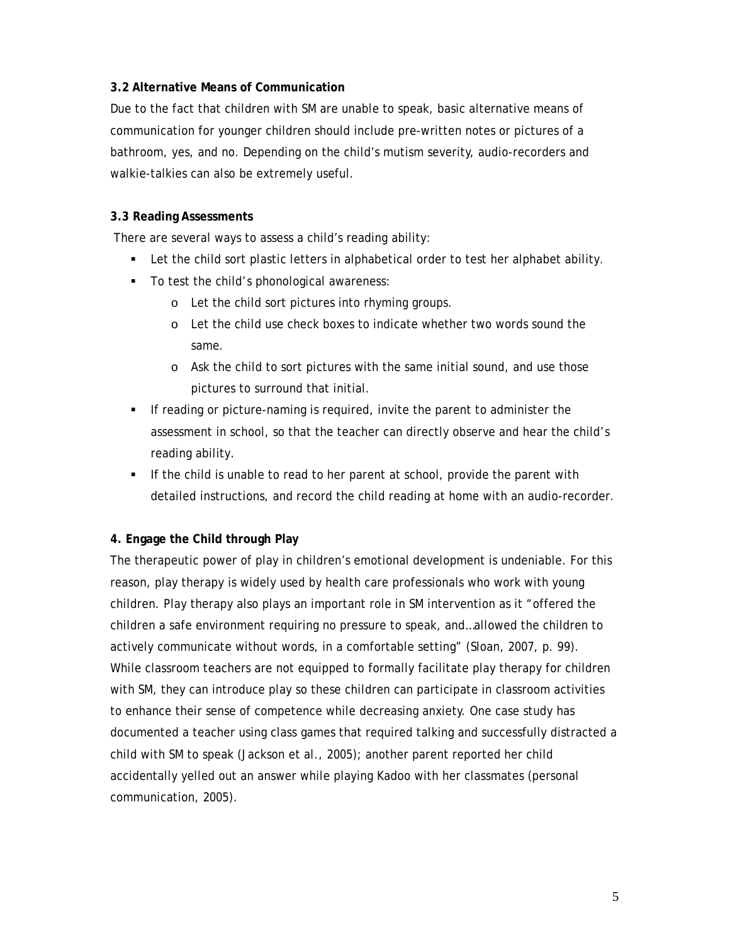#### **3.2 Alternative Means of Communication**

Due to the fact that children with SM are unable to speak, basic alternative means of communication for younger children should include pre-written notes or pictures of a bathroom, yes, and no. Depending on the child's mutism severity, audio-recorders and walkie-talkies can also be extremely useful.

### **3.3 Reading Assessments**

There are several ways to assess a child's reading ability:

- Let the child sort plastic letters in alphabetical order to test her alphabet ability.
- To test the child's phonological awareness:
	- o Let the child sort pictures into rhyming groups.
	- o Let the child use check boxes to indicate whether two words sound the same.
	- o Ask the child to sort pictures with the same initial sound, and use those pictures to surround that initial.
- If reading or picture-naming is required, invite the parent to administer the assessment in school, so that the teacher can directly observe and hear the child's reading ability.
- If the child is unable to read to her parent at school, provide the parent with detailed instructions, and record the child reading at home with an audio-recorder.

# **4. Engage the Child through Play**

The therapeutic power of play in children's emotional development is undeniable. For this reason, play therapy is widely used by health care professionals who work with young children. Play therapy also plays an important role in SM intervention as it "offered the children a safe environment requiring no pressure to speak, and…allowed the children to actively communicate without words, in a comfortable setting" (Sloan, 2007, p. 99). While classroom teachers are not equipped to formally facilitate play therapy for children with SM, they can introduce play so these children can participate in classroom activities to enhance their sense of competence while decreasing anxiety. One case study has documented a teacher using class games that required talking and successfully distracted a child with SM to speak (Jackson et al., 2005); another parent reported her child accidentally yelled out an answer while playing Kadoo with her classmates (personal communication, 2005).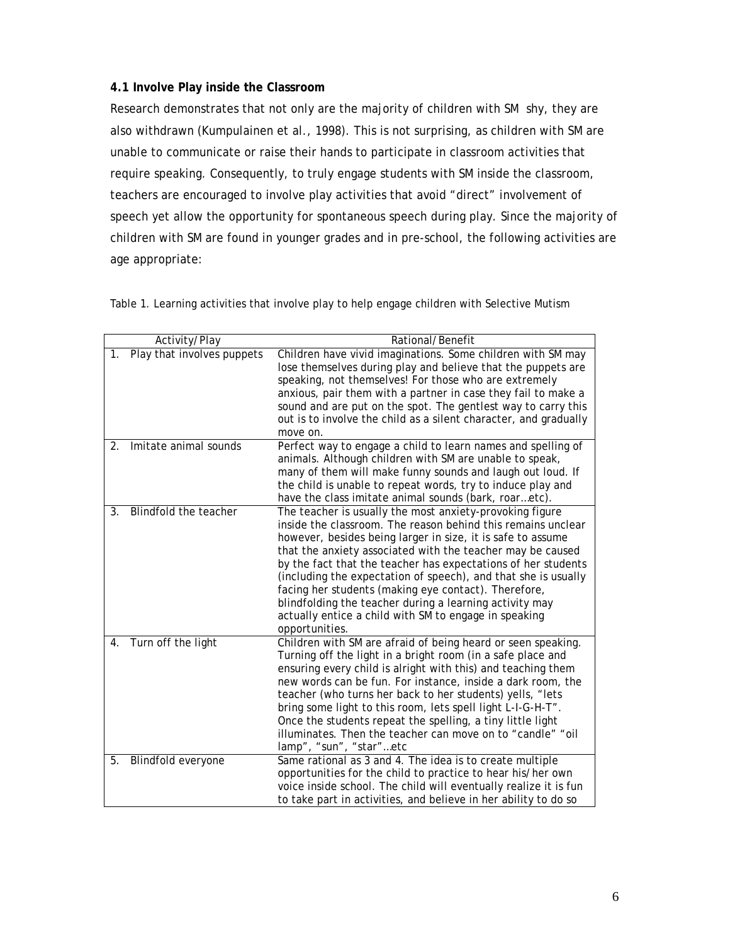#### **4.1 Involve Play inside the Classroom**

Research demonstrates that not only are the majority of children with SM shy, they are also withdrawn (Kumpulainen et al., 1998). This is not surprising, as children with SM are unable to communicate or raise their hands to participate in classroom activities that require speaking. Consequently, to truly engage students with SM inside the classroom, teachers are encouraged to involve play activities that avoid "direct" involvement of speech yet allow the opportunity for spontaneous speech during play. Since the majority of children with SM are found in younger grades and in pre-school, the following activities are age appropriate:

|    | Activity/Play              | Rational/Benefit                                                                                                            |
|----|----------------------------|-----------------------------------------------------------------------------------------------------------------------------|
| 1. | Play that involves puppets | Children have vivid imaginations. Some children with SM may<br>lose themselves during play and believe that the puppets are |
|    |                            | speaking, not themselves! For those who are extremely                                                                       |
|    |                            | anxious, pair them with a partner in case they fail to make a                                                               |
|    |                            | sound and are put on the spot. The gentlest way to carry this                                                               |
|    |                            | out is to involve the child as a silent character, and gradually                                                            |
|    |                            | move on.                                                                                                                    |
| 2. | Imitate animal sounds      | Perfect way to engage a child to learn names and spelling of                                                                |
|    |                            | animals. Although children with SM are unable to speak,                                                                     |
|    |                            | many of them will make funny sounds and laugh out loud. If                                                                  |
|    |                            | the child is unable to repeat words, try to induce play and                                                                 |
| 3. | Blindfold the teacher      | have the class imitate animal sounds (bark, roaretc).                                                                       |
|    |                            | The teacher is usually the most anxiety-provoking figure<br>inside the classroom. The reason behind this remains unclear    |
|    |                            | however, besides being larger in size, it is safe to assume                                                                 |
|    |                            | that the anxiety associated with the teacher may be caused                                                                  |
|    |                            | by the fact that the teacher has expectations of her students                                                               |
|    |                            | (including the expectation of speech), and that she is usually                                                              |
|    |                            | facing her students (making eye contact). Therefore,                                                                        |
|    |                            | blindfolding the teacher during a learning activity may                                                                     |
|    |                            | actually entice a child with SM to engage in speaking                                                                       |
|    |                            | opportunities.                                                                                                              |
| 4. | Turn off the light         | Children with SM are afraid of being heard or seen speaking.                                                                |
|    |                            | Turning off the light in a bright room (in a safe place and                                                                 |
|    |                            | ensuring every child is alright with this) and teaching them                                                                |
|    |                            | new words can be fun. For instance, inside a dark room, the                                                                 |
|    |                            | teacher (who turns her back to her students) yells, "lets                                                                   |
|    |                            | bring some light to this room, lets spell light L-I-G-H-T".                                                                 |
|    |                            | Once the students repeat the spelling, a tiny little light                                                                  |
|    |                            | illuminates. Then the teacher can move on to "candle" "oil                                                                  |
|    |                            | lamp", "sun", "star"etc                                                                                                     |
| 5. | Blindfold everyone         | Same rational as 3 and 4. The idea is to create multiple                                                                    |
|    |                            | opportunities for the child to practice to hear his/her own                                                                 |
|    |                            | voice inside school. The child will eventually realize it is fun                                                            |
|    |                            | to take part in activities, and believe in her ability to do so                                                             |

Table 1. Learning activities that involve play to help engage children with Selective Mutism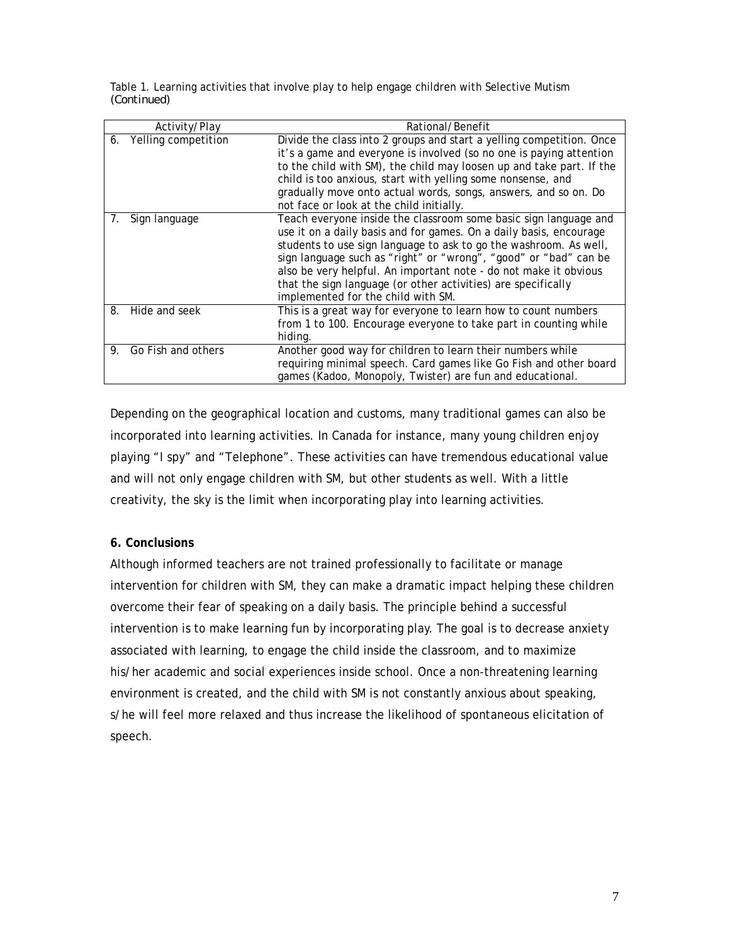| Table 1. Learning activities that involve play to help engage children with Selective Mutism |  |
|----------------------------------------------------------------------------------------------|--|
| (Continued)                                                                                  |  |

|    | Activity/Play       | Rational/Benefit                                                                                                                                                                                                                                                                                                                                                                                                                                           |
|----|---------------------|------------------------------------------------------------------------------------------------------------------------------------------------------------------------------------------------------------------------------------------------------------------------------------------------------------------------------------------------------------------------------------------------------------------------------------------------------------|
| 6. | Yelling competition | Divide the class into 2 groups and start a yelling competition. Once<br>it's a game and everyone is involved (so no one is paying attention<br>to the child with SM), the child may loosen up and take part. If the<br>child is too anxious, start with yelling some nonsense, and<br>gradually move onto actual words, songs, answers, and so on. Do<br>not face or look at the child initially.                                                          |
| 7. | Sign language       | Teach everyone inside the classroom some basic sign language and<br>use it on a daily basis and for games. On a daily basis, encourage<br>students to use sign language to ask to go the washroom. As well,<br>sign language such as "right" or "wrong", "good" or "bad" can be<br>also be very helpful. An important note - do not make it obvious<br>that the sign language (or other activities) are specifically<br>implemented for the child with SM. |
| 8. | Hide and seek       | This is a great way for everyone to learn how to count numbers<br>from 1 to 100. Encourage everyone to take part in counting while<br>hiding.                                                                                                                                                                                                                                                                                                              |
| 9. | Go Fish and others  | Another good way for children to learn their numbers while<br>requiring minimal speech. Card games like Go Fish and other board<br>games (Kadoo, Monopoly, Twister) are fun and educational.                                                                                                                                                                                                                                                               |

Depending on the geographical location and customs, many traditional games can also be incorporated into learning activities. In Canada for instance, many young children enjoy playing "I spy" and "Telephone". These activities can have tremendous educational value and will not only engage children with SM, but other students as well. With a little creativity, the sky is the limit when incorporating play into learning activities.

# **6. Conclusions**

Although informed teachers are not trained professionally to facilitate or manage intervention for children with SM, they can make a dramatic impact helping these children overcome their fear of speaking on a daily basis. The principle behind a successful intervention is to make learning fun by incorporating play. The goal is to decrease anxiety associated with learning, to engage the child inside the classroom, and to maximize his/her academic and social experiences inside school. Once a non-threatening learning environment is created, and the child with SM is not constantly anxious about speaking, s/he will feel more relaxed and thus increase the likelihood of spontaneous elicitation of speech.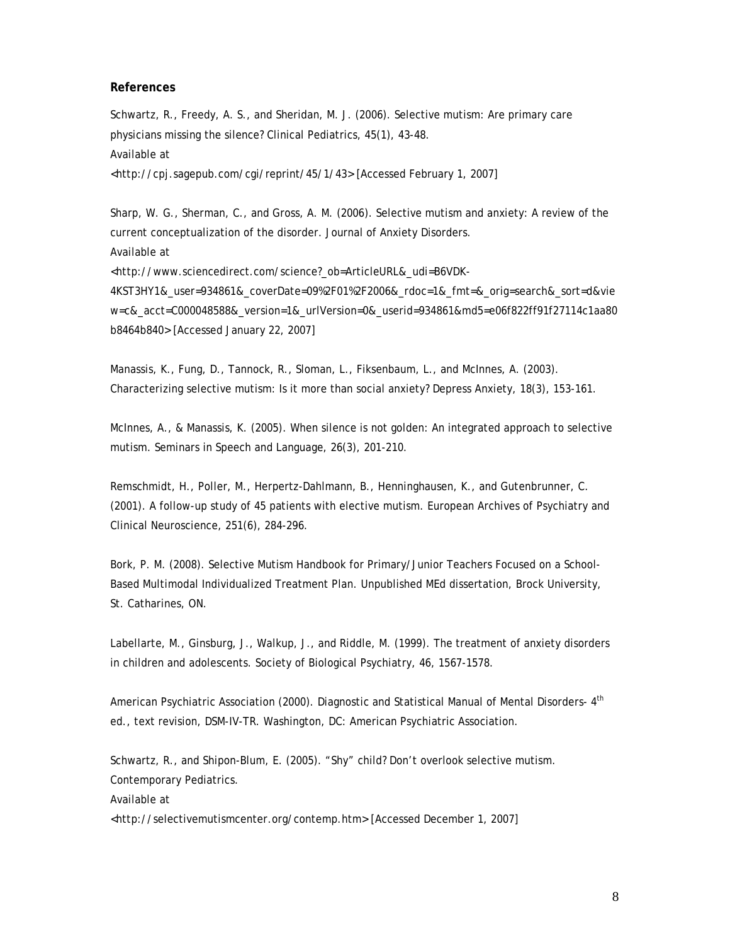#### **References**

Schwartz, R., Freedy, A. S., and Sheridan, M. J. (2006). Selective mutism: Are primary care physicians missing the silence? Clinical Pediatrics, 45(1), 43-48. Available at <http://cpj.sagepub.com/cgi/reprint/45/1/43> [Accessed February 1, 2007]

Sharp, W. G., Sherman, C., and Gross, A. M. (2006). Selective mutism and anxiety: A review of the current conceptualization of the disorder. Journal of Anxiety Disorders. Available at <http://www.sciencedirect.com/science?\_ob=ArticleURL&\_udi=B6VDK-4KST3HY1&\_user=934861&\_coverDate=09%2F01%2F2006&\_rdoc=1&\_fmt=&\_orig=search&\_sort=d&vie w=c&\_acct=C000048588&\_version=1&\_urlVersion=0&\_userid=934861&md5=e06f822ff91f27114c1aa80 b8464b840> [Accessed January 22, 2007]

Manassis, K., Fung, D., Tannock, R., Sloman, L., Fiksenbaum, L., and McInnes, A. (2003). Characterizing selective mutism: Is it more than social anxiety? Depress Anxiety, 18(3), 153-161.

McInnes, A., & Manassis, K. (2005). When silence is not golden: An integrated approach to selective mutism. Seminars in Speech and Language, 26(3), 201-210.

Remschmidt, H., Poller, M., Herpertz-Dahlmann, B., Henninghausen, K., and Gutenbrunner, C. (2001). A follow-up study of 45 patients with elective mutism. European Archives of Psychiatry and Clinical Neuroscience, 251(6), 284-296.

Bork, P. M. (2008). Selective Mutism Handbook for Primary/Junior Teachers Focused on a School-Based Multimodal Individualized Treatment Plan. Unpublished MEd dissertation, Brock University, St. Catharines, ON.

Labellarte, M., Ginsburg, J., Walkup, J., and Riddle, M. (1999). The treatment of anxiety disorders in children and adolescents. Society of Biological Psychiatry, 46, 1567-1578.

American Psychiatric Association (2000). Diagnostic and Statistical Manual of Mental Disorders- 4<sup>th</sup> ed., text revision, DSM-IV-TR. Washington, DC: American Psychiatric Association.

Schwartz, R., and Shipon-Blum, E. (2005). "Shy" child? Don't overlook selective mutism. Contemporary Pediatrics. Available at <http://selectivemutismcenter.org/contemp.htm> [Accessed December 1, 2007]

8